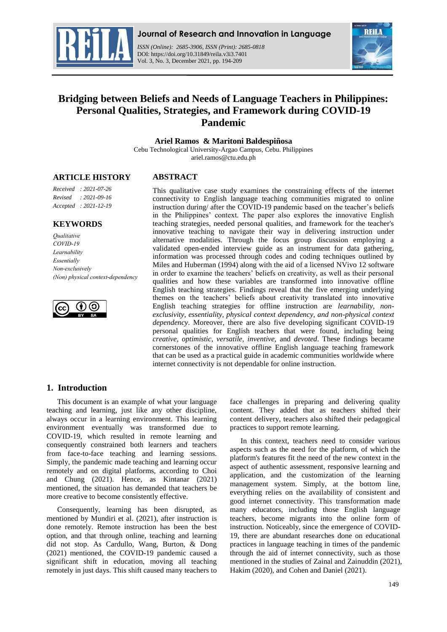

*ISSN (Online): 2685-3906, ISSN (Print): 2685-0818*  DOI: https://doi.org/10.31849/reila.v3i3.7401 Vol. 3, No. 3, December 2021, pp. 194-209



# **Bridging between Beliefs and Needs of Language Teachers in Philippines: Personal Qualities, Strategies, and Framework during COVID-19 Pandemic**

**Ariel Ramos & Maritoni Baldespiñosa**

Cebu Technological University-Argao Campus, Cebu. Philippines ariel.ramos@ctu.edu.ph

## **ARTICLE HISTORY**

# **ABSTRACT**

*Received : 2021-07-26 Revised : 2021-09-16 Accepted : 2021-12-19*

### **KEYWORDS**

*Qualitative COVID-19 Learnability Essentially Non-exclusively (Non) physical context-dependency*



This qualitative case study examines the constraining effects of the internet connectivity to English language teaching communities migrated to online instruction during/ after the COVID-19 pandemic based on the teacher's beliefs in the Philippines' context. The paper also explores the innovative English teaching strategies, needed personal qualities, and framework for the teacher's innovative teaching to navigate their way in delivering instruction under alternative modalities. Through the focus group discussion employing a validated open-ended interview guide as an instrument for data gathering, information was processed through codes and coding techniques outlined by Miles and Huberman (1994) along with the aid of a licensed NVivo 12 software in order to examine the teachers' beliefs on creativity, as well as their personal qualities and how these variables are transformed into innovative offline English teaching strategies. Findings reveal that the five emerging underlying themes on the teachers' beliefs about creativity translated into innovative English teaching strategies for offline instruction are *learnability, nonexclusivity, essentiality, physical context dependency, and non-physical context dependency*. Moreover, there are also five developing significant COVID-19 personal qualities for English teachers that were found, including being *creative, optimistic, versatile, inventive,* and *devoted*. These findings became cornerstones of the innovative offline English language teaching framework that can be used as a practical guide in academic communities worldwide where internet connectivity is not dependable for online instruction.

# **1. Introduction**

This document is an example of what your language teaching and learning, just like any other discipline, always occur in a learning environment. This learning environment eventually was transformed due to COVID-19, which resulted in remote learning and consequently constrained both learners and teachers from face-to-face teaching and learning sessions. Simply, the pandemic made teaching and learning occur remotely and on digital platforms, according to Choi and Chung (2021). Hence, as Kintanar (2021) mentioned, the situation has demanded that teachers be more creative to become consistently effective.

Consequently, learning has been disrupted, as mentioned by Mundiri et al. (2021), after instruction is done remotely. Remote instruction has been the best option, and that through online, teaching and learning did not stop. As Cardullo, Wang, Burton, & Dong (2021) mentioned, the COVID-19 pandemic caused a significant shift in education, moving all teaching remotely in just days. This shift caused many teachers to

face challenges in preparing and delivering quality content. They added that as teachers shifted their content delivery, teachers also shifted their pedagogical practices to support remote learning.

In this context, teachers need to consider various aspects such as the need for the platform, of which the platform's features fit the need of the new context in the aspect of authentic assessment, responsive learning and application, and the customization of the learning management system. Simply, at the bottom line, everything relies on the availability of consistent and good internet connectivity. This transformation made many educators, including those English language teachers, become migrants into the online form of instruction. Noticeably, since the emergence of COVID-19, there are abundant researches done on educational practices in language teaching in times of the pandemic through the aid of internet connectivity, such as those mentioned in the studies of Zainal and Zainuddin (2021), Hakim (2020), and Cohen and Daniel (2021).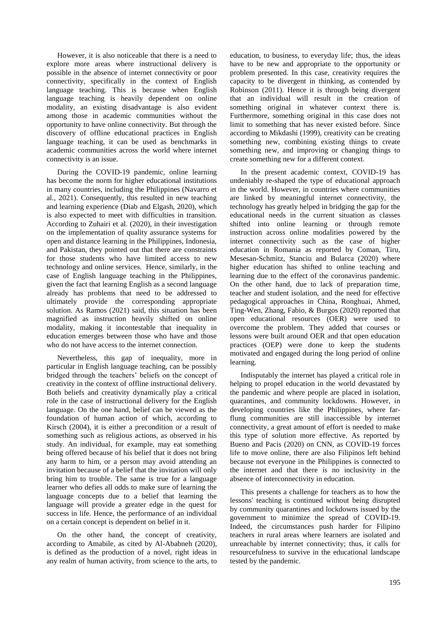However, it is also noticeable that there is a need to explore more areas where instructional delivery is possible in the absence of internet connectivity or poor connectivity, specifically in the context of English language teaching. This is because when English language teaching is heavily dependent on online modality, an existing disadvantage is also evident among those in academic communities without the opportunity to have online connectivity. But through the discovery of offline educational practices in English language teaching, it can be used as benchmarks in academic communities across the world where internet connectivity is an issue.

During the COVID-19 pandemic, online learning has become the norm for higher educational institutions in many countries, including the Philippines (Navarro et al., 2021). Consequently, this resulted in new teaching and learning experience (Diab and Elgash, 2020), which is also expected to meet with difficulties in transition. According to Zuhairi et al. (2020), in their investigation on the implementation of quality assurance systems for open and distance learning in the Philippines, Indonesia, and Pakistan, they pointed out that there are constraints for those students who have limited access to new technology and online services. Hence, similarly, in the case of English language teaching in the Philippines, given the fact that learning English as a second language already has problems that need to be addressed to ultimately provide the corresponding appropriate solution. As Ramos (2021) said, this situation has been magnified as instruction heavily shifted on online modality, making it incontestable that inequality in education emerges between those who have and those who do not have access to the internet connection.

Nevertheless, this gap of inequality, more in particular in English language teaching, can be possibly bridged through the teachers' beliefs on the concept of creativity in the context of offline instructional delivery. Both beliefs and creativity dynamically play a critical role in the case of instructional delivery for the English language. On the one hand, belief can be viewed as the foundation of human action of which, according to Kirsch (2004), it is either a precondition or a result of something such as religious actions, as observed in his study. An individual, for example, may eat something being offered because of his belief that it does not bring any harm to him, or a person may avoid attending an invitation because of a belief that the invitation will only bring him to trouble. The same is true for a language learner who defies all odds to make sure of learning the language concepts due to a belief that learning the language will provide a greater edge in the quest for success in life. Hence, the performance of an individual on a certain concept is dependent on belief in it.

On the other hand, the concept of creativity, according to Amabile, as cited by Al-Ababneh (2020), is defined as the production of a novel, right ideas in any realm of human activity, from science to the arts, to education, to business, to everyday life; thus, the ideas have to be new and appropriate to the opportunity or problem presented. In this case, creativity requires the capacity to be divergent in thinking, as contended by Robinson (2011). Hence it is through being divergent that an individual will result in the creation of something original in whatever context there is. Furthermore, something original in this case does not limit to something that has never existed before. Since according to Mikdashi (1999), creativity can be creating something new, combining existing things to create something new, and improving or changing things to create something new for a different context.

In the present academic context, COVID-19 has undeniably re-shaped the type of educational approach in the world. However, in countries where communities are linked by meaningful internet connectivity, the technology has greatly helped in bridging the gap for the educational needs in the current situation as classes shifted into online learning or through remote instruction across online modalities powered by the internet connectivity such as the case of higher education in Romania as reported by Coman, Tiru, Mesesan-Schmitz, Stanciu and Bularca (2020) where higher education has shifted to online teaching and learning due to the effect of the coronavirus pandemic. On the other hand, due to lack of preparation time, teacher and student isolation, and the need for effective pedagogical approaches in China, Ronghuai, Ahmed, Ting-Wen, Zhang, Fabio, & Burgos (2020) reported that open educational resources (OER) were used to overcome the problem. They added that courses or lessons were built around OER and that open education practices (OEP) were done to keep the students motivated and engaged during the long period of online learning.

Indisputably the internet has played a critical role in helping to propel education in the world devastated by the pandemic and where people are placed in isolation, quarantines, and community lockdowns. However, in developing countries like the Philippines, where farflung communities are still inaccessible by internet connectivity, a great amount of effort is needed to make this type of solution more effective. As reported by Bueno and Pacis (2020) on CNN, as COVID-19 forces life to move online, there are also Filipinos left behind because not everyone in the Philippines is connected to the internet and that there is no inclusivity in the absence of interconnectivity in education.

This presents a challenge for teachers as to how the lessons' teaching is continued without being disrupted by community quarantines and lockdowns issued by the government to minimize the spread of COVID-19. Indeed, the circumstances push harder for Filipino teachers in rural areas where learners are isolated and unreachable by internet connectivity; thus, it calls for resourcefulness to survive in the educational landscape tested by the pandemic.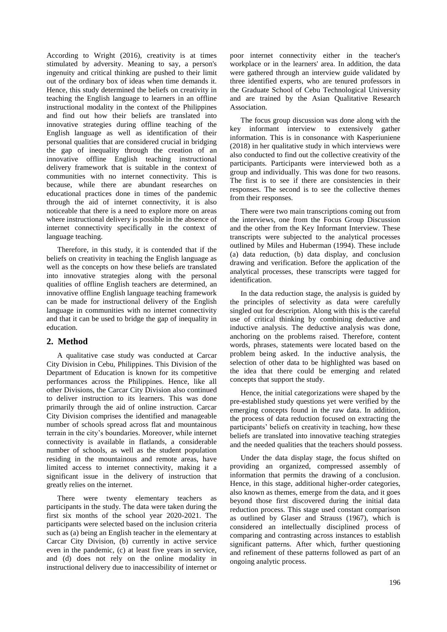According to Wright (2016), creativity is at times stimulated by adversity. Meaning to say, a person's ingenuity and critical thinking are pushed to their limit out of the ordinary box of ideas when time demands it. Hence, this study determined the beliefs on creativity in teaching the English language to learners in an offline instructional modality in the context of the Philippines and find out how their beliefs are translated into innovative strategies during offline teaching of the English language as well as identification of their personal qualities that are considered crucial in bridging the gap of inequality through the creation of an innovative offline English teaching instructional delivery framework that is suitable in the context of communities with no internet connectivity. This is because, while there are abundant researches on educational practices done in times of the pandemic through the aid of internet connectivity, it is also noticeable that there is a need to explore more on areas where instructional delivery is possible in the absence of internet connectivity specifically in the context of language teaching.

Therefore, in this study, it is contended that if the beliefs on creativity in teaching the English language as well as the concepts on how these beliefs are translated into innovative strategies along with the personal qualities of offline English teachers are determined, an innovative offline English language teaching framework can be made for instructional delivery of the English language in communities with no internet connectivity and that it can be used to bridge the gap of inequality in education.

# **2. Method**

A qualitative case study was conducted at Carcar City Division in Cebu, Philippines. This Division of the Department of Education is known for its competitive performances across the Philippines. Hence, like all other Divisions, the Carcar City Division also continued to deliver instruction to its learners. This was done primarily through the aid of online instruction. Carcar City Division comprises the identified and manageable number of schools spread across flat and mountainous terrain in the city's boundaries. Moreover, while internet connectivity is available in flatlands, a considerable number of schools, as well as the student population residing in the mountainous and remote areas, have limited access to internet connectivity, making it a significant issue in the delivery of instruction that greatly relies on the internet.

There were twenty elementary teachers as participants in the study. The data were taken during the first six months of the school year 2020-2021. The participants were selected based on the inclusion criteria such as (a) being an English teacher in the elementary at Carcar City Division, (b) currently in active service even in the pandemic, (c) at least five years in service, and (d) does not rely on the online modality in instructional delivery due to inaccessibility of internet or

poor internet connectivity either in the teacher's workplace or in the learners' area. In addition, the data were gathered through an interview guide validated by three identified experts, who are tenured professors in the Graduate School of Cebu Technological University and are trained by the Asian Qualitative Research Association.

The focus group discussion was done along with the key informant interview to extensively gather information. This is in consonance with Kasperiuniene (2018) in her qualitative study in which interviews were also conducted to find out the collective creativity of the participants. Participants were interviewed both as a group and individually. This was done for two reasons. The first is to see if there are consistencies in their responses. The second is to see the collective themes from their responses.

There were two main transcriptions coming out from the interviews, one from the Focus Group Discussion and the other from the Key Informant Interview. These transcripts were subjected to the analytical processes outlined by Miles and Huberman (1994). These include (a) data reduction, (b) data display, and conclusion drawing and verification. Before the application of the analytical processes, these transcripts were tagged for identification.

In the data reduction stage, the analysis is guided by the principles of selectivity as data were carefully singled out for description. Along with this is the careful use of critical thinking by combining deductive and inductive analysis. The deductive analysis was done, anchoring on the problems raised. Therefore, content words, phrases, statements were located based on the problem being asked. In the inductive analysis, the selection of other data to be highlighted was based on the idea that there could be emerging and related concepts that support the study.

Hence, the initial categorizations were shaped by the pre-established study questions yet were verified by the emerging concepts found in the raw data. In addition, the process of data reduction focused on extracting the participants' beliefs on creativity in teaching, how these beliefs are translated into innovative teaching strategies and the needed qualities that the teachers should possess.

Under the data display stage, the focus shifted on providing an organized, compressed assembly of information that permits the drawing of a conclusion. Hence, in this stage, additional higher-order categories, also known as themes, emerge from the data, and it goes beyond those first discovered during the initial data reduction process. This stage used constant comparison as outlined by Glaser and Strauss (1967), which is considered an intellectually disciplined process of comparing and contrasting across instances to establish significant patterns. After which, further questioning and refinement of these patterns followed as part of an ongoing analytic process.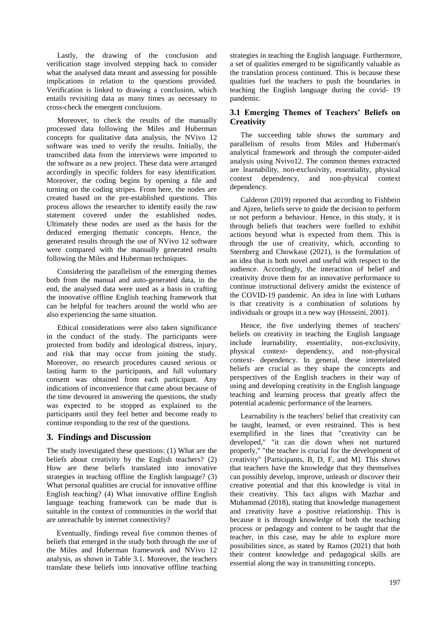Lastly, the drawing of the conclusion and verification stage involved stepping back to consider what the analysed data meant and assessing for possible implications in relation to the questions provided. Verification is linked to drawing a conclusion, which entails revisiting data as many times as necessary to cross-check the emergent conclusions.

Moreover, to check the results of the manually processed data following the Miles and Huberman concepts for qualitative data analysis, the NVivo 12 software was used to verify the results. Initially, the transcribed data from the interviews were imported to the software as a new project. These data were arranged accordingly in specific folders for easy identification. Moreover, the coding begins by opening a file and turning on the coding stripes. From here, the nodes are created based on the pre-established questions. This process allows the researcher to identify easily the raw statement covered under the established nodes. Ultimately these nodes are used as the basis for the deduced emerging thematic concepts. Hence, the generated results through the use of NVivo 12 software were compared with the manually generated results following the Miles and Huberman techniques.

Considering the parallelism of the emerging themes both from the manual and auto-generated data, in the end, the analysed data were used as a basis in crafting the innovative offline English teaching framework that can be helpful for teachers around the world who are also experiencing the same situation.

Ethical considerations were also taken significance in the conduct of the study. The participants were protected from bodily and ideological distress, injury, and risk that may occur from joining the study. Moreover, no research procedures caused serious or lasting harm to the participants, and full voluntary consent was obtained from each participant. Any indications of inconvenience that came about because of the time devoured in answering the questions, the study was expected to be stopped as explained to the participants until they feel better and become ready to continue responding to the rest of the questions.

# **3. Findings and Discussion**

The study investigated these questions: (1) What are the beliefs about creativity by the English teachers? (2) How are these beliefs translated into innovative strategies in teaching offline the English language? (3) What personal qualities are crucial for innovative offline English teaching? (4) What innovative offline English language teaching framework can be made that is suitable in the context of communities in the world that are unreachable by internet connectivity?

Eventually, findings reveal five common themes of beliefs that emerged in the study both through the use of the Miles and Huberman framework and NVivo 12 analysis, as shown in Table 3.1. Moreover, the teachers translate these beliefs into innovative offline teaching strategies in teaching the English language. Furthermore, a set of qualities emerged to be significantly valuable as the translation process continued. This is because these qualities fuel the teachers to push the boundaries in teaching the English language during the covid- 19 pandemic.

# **3.1 Emerging Themes of Teachers' Beliefs on Creativity**

The succeeding table shows the summary and parallelism of results from Miles and Huberman's analytical framework and through the computer-aided analysis using Nvivo12. The common themes extracted are learnability, non-exclusivity, essentiality, physical context dependency, and non-physical context dependency.

Calderon (2019) reported that according to Fishbein and Ajzen, beliefs serve to guide the decision to perform or not perform a behaviour. Hence, in this study, it is through beliefs that teachers were fuelled to exhibit actions beyond what is expected from them. This is through the use of creativity, which, according to Sternberg and Chowkase (2021), is the formulation of an idea that is both novel and useful with respect to the audience. Accordingly, the interaction of belief and creativity drove them for an innovative performance to continue instructional delivery amidst the existence of the COVID-19 pandemic. An idea in line with Luthans is that creativity is a combination of solutions by individuals or groups in a new way (Hosseini, 2001).

Hence, the five underlying themes of teachers' beliefs on creativity in teaching the English language include learnability, essentiality, non-exclusivity, physical context- dependency, and non-physical context- dependency. In general, these interrelated beliefs are crucial as they shape the concepts and perspectives of the English teachers in their way of using and developing creativity in the English language teaching and learning process that greatly affect the potential academic performance of the learners.

Learnability is the teachers' belief that creativity can be taught, learned, or even restrained. This is best exemplified in the lines that "creativity can be developed," "it can die down when not nurtured properly," "the teacher is crucial for the development of creativity" [Participants, B, D, F, and M]. This shows that teachers have the knowledge that they themselves can possibly develop, improve, unleash or discover their creative potential and that this knowledge is vital in their creativity. This fact aligns with Mazhar and Muhammad (2018), stating that knowledge management and creativity have a positive relationship. This is because it is through knowledge of both the teaching process or pedagogy and content to be taught that the teacher, in this case, may be able to explore more possibilities since, as stated by Ramos (2021) that both their content knowledge and pedagogical skills are essential along the way in transmitting concepts.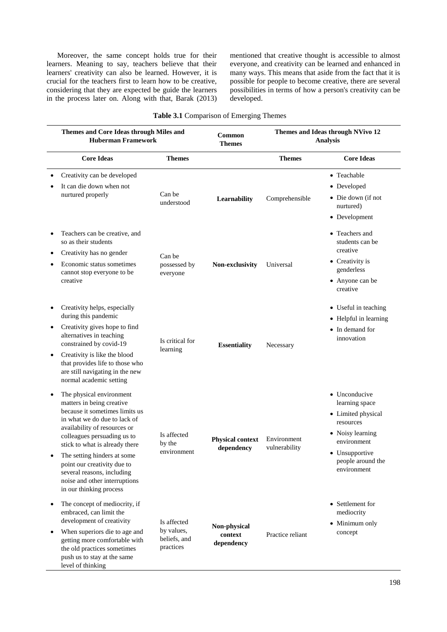Moreover, the same concept holds true for their learners. Meaning to say, teachers believe that their learners' creativity can also be learned. However, it is crucial for the teachers first to learn how to be creative, considering that they are expected be guide the learners in the process later on. Along with that, Barak (2013) mentioned that creative thought is accessible to almost everyone, and creativity can be learned and enhanced in many ways. This means that aside from the fact that it is possible for people to become creative, there are several possibilities in terms of how a person's creativity can be developed.

| Table 3.1 Comparison of Emerging Themes |  |
|-----------------------------------------|--|
|-----------------------------------------|--|

|           | Themes and Core Ideas through Miles and<br><b>Huberman Framework</b>                                                                                                                                                                                                                                                                                                             |                                                        | Common<br><b>Themes</b>               | Themes and Ideas through NVivo 12<br><b>Analysis</b> |                                                                                                                                                             |
|-----------|----------------------------------------------------------------------------------------------------------------------------------------------------------------------------------------------------------------------------------------------------------------------------------------------------------------------------------------------------------------------------------|--------------------------------------------------------|---------------------------------------|------------------------------------------------------|-------------------------------------------------------------------------------------------------------------------------------------------------------------|
|           | <b>Core Ideas</b>                                                                                                                                                                                                                                                                                                                                                                | <b>Themes</b>                                          |                                       | <b>Themes</b>                                        | <b>Core Ideas</b>                                                                                                                                           |
|           | Creativity can be developed<br>It can die down when not<br>nurtured properly                                                                                                                                                                                                                                                                                                     | Can be<br>understood                                   | Learnability                          | Comprehensible                                       | • Teachable<br>• Developed<br>• Die down (if not<br>nurtured)<br>• Development                                                                              |
|           | Teachers can be creative, and<br>so as their students<br>Creativity has no gender<br>Economic status sometimes<br>cannot stop everyone to be<br>creative                                                                                                                                                                                                                         | Can be<br>possessed by<br>everyone                     | Non-exclusivity                       | Universal                                            | • Teachers and<br>students can be<br>creative<br>• Creativity is<br>genderless<br>• Anyone can be<br>creative                                               |
| $\bullet$ | Creativity helps, especially<br>during this pandemic<br>Creativity gives hope to find<br>alternatives in teaching<br>constrained by covid-19<br>Creativity is like the blood<br>that provides life to those who<br>are still navigating in the new<br>normal academic setting                                                                                                    | Is critical for<br>learning                            | <b>Essentiality</b>                   | Necessary                                            | • Useful in teaching<br>• Helpful in learning<br>• In demand for<br>innovation                                                                              |
|           | The physical environment<br>matters in being creative<br>because it sometimes limits us<br>in what we do due to lack of<br>availability of resources or<br>colleagues persuading us to<br>stick to what is already there<br>The setting hinders at some<br>point our creativity due to<br>several reasons, including<br>noise and other interruptions<br>in our thinking process | Is affected<br>by the<br>environment                   | <b>Physical context</b><br>dependency | Environment<br>vulnerability                         | • Unconducive<br>learning space<br>• Limited physical<br>resources<br>• Noisy learning<br>environment<br>• Unsupportive<br>people around the<br>environment |
| ٠         | The concept of mediocrity, if<br>embraced, can limit the<br>development of creativity<br>When superiors die to age and<br>getting more comfortable with<br>the old practices sometimes<br>push us to stay at the same<br>level of thinking                                                                                                                                       | Is affected<br>by values,<br>beliefs, and<br>practices | Non-physical<br>context<br>dependency | Practice reliant                                     | • Settlement for<br>mediocrity<br>• Minimum only<br>concept                                                                                                 |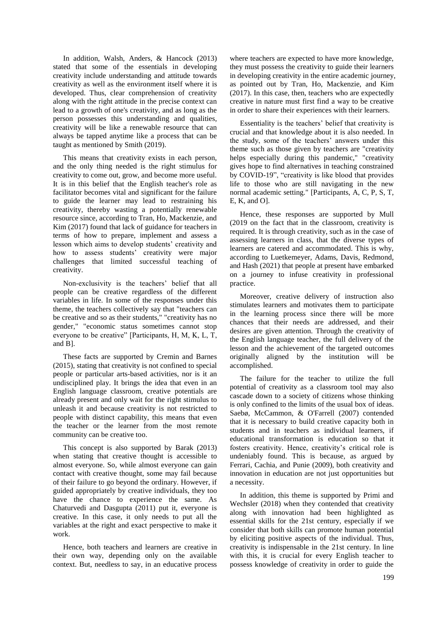In addition, Walsh, Anders, & Hancock (2013) stated that some of the essentials in developing creativity include understanding and attitude towards creativity as well as the environment itself where it is developed. Thus, clear comprehension of creativity along with the right attitude in the precise context can lead to a growth of one's creativity, and as long as the person possesses this understanding and qualities, creativity will be like a renewable resource that can always be tapped anytime like a process that can be taught as mentioned by Smith (2019).

This means that creativity exists in each person, and the only thing needed is the right stimulus for creativity to come out, grow, and become more useful. It is in this belief that the English teacher's role as facilitator becomes vital and significant for the failure to guide the learner may lead to restraining his creativity, thereby wasting a potentially renewable resource since, according to Tran, Ho, Mackenzie, and Kim (2017) found that lack of guidance for teachers in terms of how to prepare, implement and assess a lesson which aims to develop students' creativity and how to assess students' creativity were major challenges that limited successful teaching of creativity.

Non-exclusivity is the teachers' belief that all people can be creative regardless of the different variables in life. In some of the responses under this theme, the teachers collectively say that "teachers can be creative and so as their students," "creativity has no gender," "economic status sometimes cannot stop everyone to be creative" [Participants, H, M, K, L, T, and B].

These facts are supported by Cremin and Barnes (2015), stating that creativity is not confined to special people or particular arts-based activities, nor is it an undisciplined play. It brings the idea that even in an English language classroom, creative potentials are already present and only wait for the right stimulus to unleash it and because creativity is not restricted to people with distinct capability, this means that even the teacher or the learner from the most remote community can be creative too.

This concept is also supported by Barak (2013) when stating that creative thought is accessible to almost everyone. So, while almost everyone can gain contact with creative thought, some may fail because of their failure to go beyond the ordinary. However, if guided appropriately by creative individuals, they too have the chance to experience the same. As Chaturvedi and Dasgupta (2011) put it, everyone is creative. In this case, it only needs to put all the variables at the right and exact perspective to make it work.

Hence, both teachers and learners are creative in their own way, depending only on the available context. But, needless to say, in an educative process

where teachers are expected to have more knowledge, they must possess the creativity to guide their learners in developing creativity in the entire academic journey, as pointed out by Tran, Ho, Mackenzie, and Kim (2017). In this case, then, teachers who are expectedly creative in nature must first find a way to be creative in order to share their experiences with their learners.

Essentiality is the teachers' belief that creativity is crucial and that knowledge about it is also needed. In the study, some of the teachers' answers under this theme such as those given by teachers are "creativity helps especially during this pandemic," "creativity gives hope to find alternatives in teaching constrained by COVID-19", "creativity is like blood that provides life to those who are still navigating in the new normal academic setting." [Participants, A, C, P, S, T, E, K, and O].

Hence, these responses are supported by Mull (2019 on the fact that in the classroom, creativity is required. It is through creativity, such as in the case of assessing learners in class, that the diverse types of learners are catered and accommodated. This is why, according to Luetkemeyer, Adams, Davis, Redmond, and Hash (2021) that people at present have embarked on a journey to infuse creativity in professional practice.

Moreover, creative delivery of instruction also stimulates learners and motivates them to participate in the learning process since there will be more chances that their needs are addressed, and their desires are given attention. Through the creativity of the English language teacher, the full delivery of the lesson and the achievement of the targeted outcomes originally aligned by the institution will be accomplished.

The failure for the teacher to utilize the full potential of creativity as a classroom tool may also cascade down to a society of citizens whose thinking is only confined to the limits of the usual box of ideas. Saebø, McCammon, & O'Farrell (2007) contended that it is necessary to build creative capacity both in students and in teachers as individual learners, if educational transformation is education so that it fosters creativity. Hence, creativity's critical role is undeniably found. This is because, as argued by Ferrari, Cachia, and Punie (2009), both creativity and innovation in education are not just opportunities but a necessity.

In addition, this theme is supported by Primi and Wechsler (2018) when they contended that creativity along with innovation had been highlighted as essential skills for the 21st century, especially if we consider that both skills can promote human potential by eliciting positive aspects of the individual. Thus, creativity is indispensable in the 21st century. In line with this, it is crucial for every English teacher to possess knowledge of creativity in order to guide the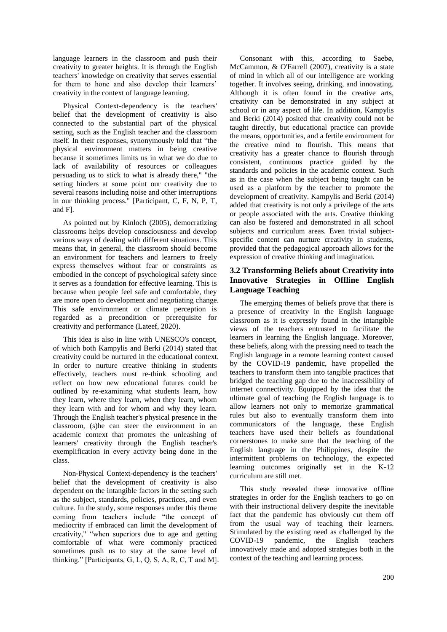language learners in the classroom and push their creativity to greater heights. It is through the English teachers' knowledge on creativity that serves essential for them to hone and also develop their learners' creativity in the context of language learning.

Physical Context-dependency is the teachers' belief that the development of creativity is also connected to the substantial part of the physical setting, such as the English teacher and the classroom itself. In their responses, synonymously told that "the physical environment matters in being creative because it sometimes limits us in what we do due to lack of availability of resources or colleagues persuading us to stick to what is already there," "the setting hinders at some point our creativity due to several reasons including noise and other interruptions in our thinking process." [Participant, C, F, N, P, T, and F].

As pointed out by Kinloch (2005), democratizing classrooms helps develop consciousness and develop various ways of dealing with different situations. This means that, in general, the classroom should become an environment for teachers and learners to freely express themselves without fear or constraints as embodied in the concept of psychological safety since it serves as a foundation for effective learning. This is because when people feel safe and comfortable, they are more open to development and negotiating change. This safe environment or climate perception is regarded as a precondition or prerequisite for creativity and performance (Lateef, 2020).

This idea is also in line with UNESCO's concept, of which both Kampylis and Berki (2014) stated that creativity could be nurtured in the educational context. In order to nurture creative thinking in students effectively, teachers must re-think schooling and reflect on how new educational futures could be outlined by re-examining what students learn, how they learn, where they learn, when they learn, whom they learn with and for whom and why they learn. Through the English teacher's physical presence in the classroom, (s)he can steer the environment in an academic context that promotes the unleashing of learners' creativity through the English teacher's exemplification in every activity being done in the class.

Non-Physical Context-dependency is the teachers' belief that the development of creativity is also dependent on the intangible factors in the setting such as the subject, standards, policies, practices, and even culture. In the study, some responses under this theme coming from teachers include "the concept of mediocrity if embraced can limit the development of creativity," "when superiors due to age and getting comfortable of what were commonly practiced sometimes push us to stay at the same level of thinking." [Participants, G, L, Q, S, A, R, C, T and M].

Consonant with this, according to Saebø, McCammon, & O'Farrell (2007), creativity is a state of mind in which all of our intelligence are working together. It involves seeing, drinking, and innovating. Although it is often found in the creative arts, creativity can be demonstrated in any subject at school or in any aspect of life. In addition, Kampylis and Berki (2014) posited that creativity could not be taught directly, but educational practice can provide the means, opportunities, and a fertile environment for the creative mind to flourish. This means that creativity has a greater chance to flourish through consistent, continuous practice guided by the standards and policies in the academic context. Such as in the case when the subject being taught can be used as a platform by the teacher to promote the development of creativity. Kampylis and Berki (2014) added that creativity is not only a privilege of the arts or people associated with the arts. Creative thinking can also be fostered and demonstrated in all school subjects and curriculum areas. Even trivial subjectspecific content can nurture creativity in students, provided that the pedagogical approach allows for the expression of creative thinking and imagination.

# **3.2 Transforming Beliefs about Creativity into Innovative Strategies in Offline English Language Teaching**

The emerging themes of beliefs prove that there is a presence of creativity in the English language classroom as it is expressly found in the intangible views of the teachers entrusted to facilitate the learners in learning the English language. Moreover, these beliefs, along with the pressing need to teach the English language in a remote learning context caused by the COVID-19 pandemic, have propelled the teachers to transform them into tangible practices that bridged the teaching gap due to the inaccessibility of internet connectivity. Equipped by the idea that the ultimate goal of teaching the English language is to allow learners not only to memorize grammatical rules but also to eventually transform them into communicators of the language, these English teachers have used their beliefs as foundational cornerstones to make sure that the teaching of the English language in the Philippines, despite the intermittent problems on technology, the expected learning outcomes originally set in the K-12 curriculum are still met.

This study revealed these innovative offline strategies in order for the English teachers to go on with their instructional delivery despite the inevitable fact that the pandemic has obviously cut them off from the usual way of teaching their learners. Stimulated by the existing need as challenged by the COVID-19 pandemic, the English teachers innovatively made and adopted strategies both in the context of the teaching and learning process.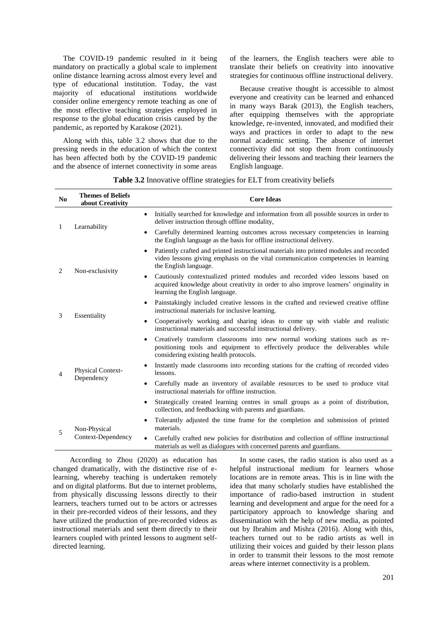The COVID-19 pandemic resulted in it being mandatory on practically a global scale to implement online distance learning across almost every level and type of educational institution. Today, the vast majority of educational institutions worldwide consider online emergency remote teaching as one of the most effective teaching strategies employed in response to the global education crisis caused by the pandemic, as reported by Karakose (2021).

Along with this, table 3.2 shows that due to the pressing needs in the education of which the context has been affected both by the COVID-19 pandemic and the absence of internet connectivity in some areas

of the learners, the English teachers were able to translate their beliefs on creativity into innovative strategies for continuous offline instructional delivery.

Because creative thought is accessible to almost everyone and creativity can be learned and enhanced in many ways Barak (2013), the English teachers, after equipping themselves with the appropriate knowledge, re-invented, innovated, and modified their ways and practices in order to adapt to the new normal academic setting. The absence of internet connectivity did not stop them from continuously delivering their lessons and teaching their learners the English language.

| No             | <b>Themes of Beliefs</b><br>about Creativity | <b>Core Ideas</b>                                                                                                                                                                                             |  |  |  |
|----------------|----------------------------------------------|---------------------------------------------------------------------------------------------------------------------------------------------------------------------------------------------------------------|--|--|--|
| 1              | Learnability                                 | Initially searched for knowledge and information from all possible sources in order to<br>deliver instruction through offline modality,                                                                       |  |  |  |
|                |                                              | Carefully determined learning outcomes across necessary competencies in learning<br>$\bullet$<br>the English language as the basis for offline instructional delivery.                                        |  |  |  |
| 2              | Non-exclusivity                              | Patiently crafted and printed instructional materials into printed modules and recorded<br>video lessons giving emphasis on the vital communication competencies in learning<br>the English language.         |  |  |  |
|                |                                              | Cautiously contextualized printed modules and recorded video lessons based on<br>٠<br>acquired knowledge about creativity in order to also improve learners' originality in<br>learning the English language. |  |  |  |
| 3              | Essentiality                                 | Painstakingly included creative lessons in the crafted and reviewed creative offline<br>instructional materials for inclusive learning.                                                                       |  |  |  |
|                |                                              | Cooperatively working and sharing ideas to come up with viable and realistic<br>instructional materials and successful instructional delivery.                                                                |  |  |  |
|                | Physical Context-<br>Dependency              | Creatively transform classrooms into new normal working stations such as re-<br>٠<br>positioning tools and equipment to effectively produce the deliverables while<br>considering existing health protocols.  |  |  |  |
| $\overline{4}$ |                                              | Instantly made classrooms into recording stations for the crafting of recorded video<br>lessons.                                                                                                              |  |  |  |
|                |                                              | Carefully made an inventory of available resources to be used to produce vital<br>$\bullet$<br>instructional materials for offline instruction.                                                               |  |  |  |
|                |                                              | Strategically created learning centres in small groups as a point of distribution,<br>٠<br>collection, and feedbacking with parents and guardians.                                                            |  |  |  |
| 5              | Non-Physical<br>Context-Dependency           | Tolerantly adjusted the time frame for the completion and submission of printed<br>materials.                                                                                                                 |  |  |  |
|                |                                              | Carefully crafted new policies for distribution and collection of offline instructional<br>$\bullet$<br>materials as well as dialogues with concerned parents and guardians.                                  |  |  |  |

**Table 3.2** Innovative offline strategies for ELT from creativity beliefs

According to Zhou (2020) as education has changed dramatically, with the distinctive rise of elearning, whereby teaching is undertaken remotely and on digital platforms. But due to internet problems, from physically discussing lessons directly to their learners, teachers turned out to be actors or actresses in their pre-recorded videos of their lessons, and they have utilized the production of pre-recorded videos as instructional materials and sent them directly to their learners coupled with printed lessons to augment selfdirected learning.

In some cases, the radio station is also used as a helpful instructional medium for learners whose locations are in remote areas. This is in line with the idea that many scholarly studies have established the importance of radio-based instruction in student learning and development and argue for the need for a participatory approach to knowledge sharing and dissemination with the help of new media, as pointed out by Ibrahim and Mishra (2016). Along with this, teachers turned out to be radio artists as well in utilizing their voices and guided by their lesson plans in order to transmit their lessons to the most remote areas where internet connectivity is a problem.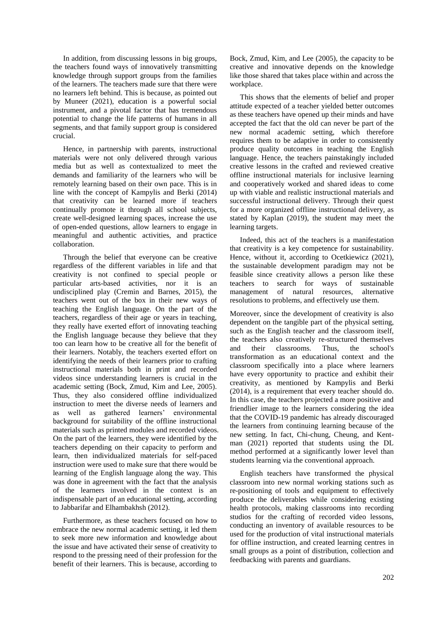In addition, from discussing lessons in big groups, the teachers found ways of innovatively transmitting knowledge through support groups from the families of the learners. The teachers made sure that there were no learners left behind. This is because, as pointed out by Muneer (2021), education is a powerful social instrument, and a pivotal factor that has tremendous potential to change the life patterns of humans in all segments, and that family support group is considered crucial.

Hence, in partnership with parents, instructional materials were not only delivered through various media but as well as contextualized to meet the demands and familiarity of the learners who will be remotely learning based on their own pace. This is in line with the concept of Kampylis and Berki (2014) that creativity can be learned more if teachers continually promote it through all school subjects, create well-designed learning spaces, increase the use of open-ended questions, allow learners to engage in meaningful and authentic activities, and practice collaboration.

Through the belief that everyone can be creative regardless of the different variables in life and that creativity is not confined to special people or particular arts-based activities, nor it is an undisciplined play (Cremin and Barnes, 2015), the teachers went out of the box in their new ways of teaching the English language. On the part of the teachers, regardless of their age or years in teaching, they really have exerted effort of innovating teaching the English language because they believe that they too can learn how to be creative all for the benefit of their learners. Notably, the teachers exerted effort on identifying the needs of their learners prior to crafting instructional materials both in print and recorded videos since understanding learners is crucial in the academic setting (Bock, Zmud, Kim and Lee, 2005). Thus, they also considered offline individualized instruction to meet the diverse needs of learners and as well as gathered learners' environmental background for suitability of the offline instructional materials such as printed modules and recorded videos. On the part of the learners, they were identified by the teachers depending on their capacity to perform and learn, then individualized materials for self-paced instruction were used to make sure that there would be learning of the English language along the way. This was done in agreement with the fact that the analysis of the learners involved in the context is an indispensable part of an educational setting, according to Jabbarifar and Elhambakhsh (2012).

Furthermore, as these teachers focused on how to embrace the new normal academic setting, it led them to seek more new information and knowledge about the issue and have activated their sense of creativity to respond to the pressing need of their profession for the benefit of their learners. This is because, according to

Bock, Zmud, Kim, and Lee (2005), the capacity to be creative and innovative depends on the knowledge like those shared that takes place within and across the workplace.

This shows that the elements of belief and proper attitude expected of a teacher yielded better outcomes as these teachers have opened up their minds and have accepted the fact that the old can never be part of the new normal academic setting, which therefore requires them to be adaptive in order to consistently produce quality outcomes in teaching the English language. Hence, the teachers painstakingly included creative lessons in the crafted and reviewed creative offline instructional materials for inclusive learning and cooperatively worked and shared ideas to come up with viable and realistic instructional materials and successful instructional delivery. Through their quest for a more organized offline instructional delivery, as stated by Kaplan (2019), the student may meet the learning targets.

Indeed, this act of the teachers is a manifestation that creativity is a key competence for sustainability. Hence, without it, according to Ocetkiewicz (2021), the sustainable development paradigm may not be feasible since creativity allows a person like these teachers to search for ways of sustainable management of natural resources, alternative resolutions to problems, and effectively use them.

Moreover, since the development of creativity is also dependent on the tangible part of the physical setting, such as the English teacher and the classroom itself, the teachers also creatively re-structured themselves and their classrooms. Thus, the school's transformation as an educational context and the classroom specifically into a place where learners have every opportunity to practice and exhibit their creativity, as mentioned by Kampylis and Berki (2014), is a requirement that every teacher should do. In this case, the teachers projected a more positive and friendlier image to the learners considering the idea that the COVID-19 pandemic has already discouraged the learners from continuing learning because of the new setting. In fact, Chi-chung, Cheung, and Kentman (2021) reported that students using the DL method performed at a significantly lower level than students learning via the conventional approach.

English teachers have transformed the physical classroom into new normal working stations such as re-positioning of tools and equipment to effectively produce the deliverables while considering existing health protocols, making classrooms into recording studios for the crafting of recorded video lessons, conducting an inventory of available resources to be used for the production of vital instructional materials for offline instruction, and created learning centres in small groups as a point of distribution, collection and feedbacking with parents and guardians.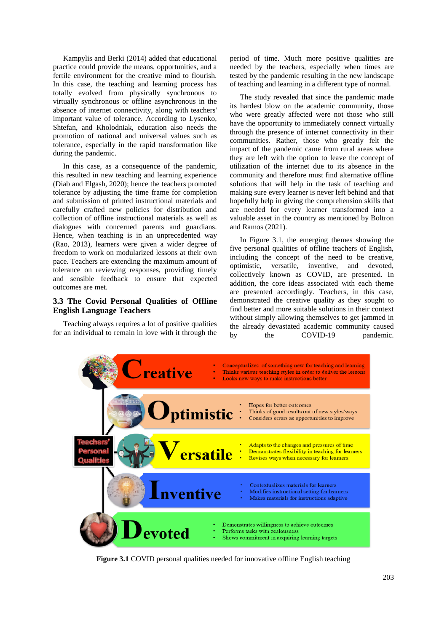Kampylis and Berki (2014) added that educational practice could provide the means, opportunities, and a fertile environment for the creative mind to flourish. In this case, the teaching and learning process has totally evolved from physically synchronous to virtually synchronous or offline asynchronous in the absence of internet connectivity, along with teachers' important value of tolerance. According to Lysenko, Shtefan, and Kholodniak, education also needs the promotion of national and universal values such as tolerance, especially in the rapid transformation like during the pandemic.

In this case, as a consequence of the pandemic, this resulted in new teaching and learning experience (Diab and Elgash, 2020); hence the teachers promoted tolerance by adjusting the time frame for completion and submission of printed instructional materials and carefully crafted new policies for distribution and collection of offline instructional materials as well as dialogues with concerned parents and guardians. Hence, when teaching is in an unprecedented way (Rao, 2013), learners were given a wider degree of freedom to work on modularized lessons at their own pace. Teachers are extending the maximum amount of tolerance on reviewing responses, providing timely and sensible feedback to ensure that expected outcomes are met.

## **3.3 The Covid Personal Qualities of Offline English Language Teachers**

Teaching always requires a lot of positive qualities for an individual to remain in love with it through the period of time. Much more positive qualities are needed by the teachers, especially when times are tested by the pandemic resulting in the new landscape of teaching and learning in a different type of normal.

The study revealed that since the pandemic made its hardest blow on the academic community, those who were greatly affected were not those who still have the opportunity to immediately connect virtually through the presence of internet connectivity in their communities. Rather, those who greatly felt the impact of the pandemic came from rural areas where they are left with the option to leave the concept of utilization of the internet due to its absence in the community and therefore must find alternative offline solutions that will help in the task of teaching and making sure every learner is never left behind and that hopefully help in giving the comprehension skills that are needed for every learner transformed into a valuable asset in the country as mentioned by Boltron and Ramos (2021).

In Figure 3.1, the emerging themes showing the five personal qualities of offline teachers of English, including the concept of the need to be creative, optimistic, versatile, inventive, and devoted, collectively known as COVID, are presented. In addition, the core ideas associated with each theme are presented accordingly. Teachers, in this case, demonstrated the creative quality as they sought to find better and more suitable solutions in their context without simply allowing themselves to get jammed in the already devastated academic community caused by the COVID-19 pandemic.



**Figure 3.1** COVID personal qualities needed for innovative offline English teaching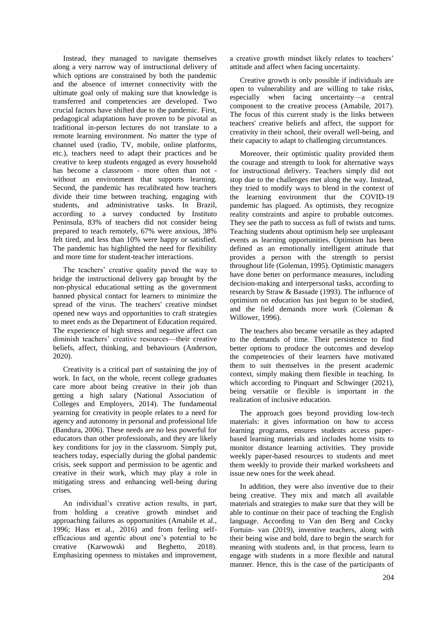Instead, they managed to navigate themselves along a very narrow way of instructional delivery of which options are constrained by both the pandemic and the absence of internet connectivity with the ultimate goal only of making sure that knowledge is transferred and competencies are developed. Two crucial factors have shifted due to the pandemic. First, pedagogical adaptations have proven to be pivotal as traditional in-person lectures do not translate to a remote learning environment. No matter the type of channel used (radio, TV, mobile, online platforms, etc.), teachers need to adapt their practices and be creative to keep students engaged as every household has become a classroom - more often than not without an environment that supports learning. Second, the pandemic has recalibrated how teachers divide their time between teaching, engaging with students, and administrative tasks. In Brazil, according to a survey conducted by Instituto Peninsula, 83% of teachers did not consider being prepared to teach remotely, 67% were anxious, 38% felt tired, and less than 10% were happy or satisfied. The pandemic has highlighted the need for flexibility and more time for student-teacher interactions.

The teachers' creative quality paved the way to bridge the instructional delivery gap brought by the non-physical educational setting as the government banned physical contact for learners to minimize the spread of the virus. The teachers' creative mindset opened new ways and opportunities to craft strategies to meet ends as the Department of Education required. The experience of high stress and negative affect can diminish teachers' creative resources—their creative beliefs, affect, thinking, and behaviours (Anderson, 2020).

Creativity is a critical part of sustaining the joy of work. In fact, on the whole, recent college graduates care more about being creative in their job than getting a high salary (National Association of Colleges and Employers, 2014). The fundamental yearning for creativity in people relates to a need for agency and autonomy in personal and professional life (Bandura, 2006). These needs are no less powerful for educators than other professionals, and they are likely key conditions for joy in the classroom. Simply put, teachers today, especially during the global pandemic crisis, seek support and permission to be agentic and creative in their work, which may play a role in mitigating stress and enhancing well-being during crises.

An individual's creative action results, in part, from holding a creative growth mindset and approaching failures as opportunities (Amabile et al., 1996; Hass et al., 2016) and from feeling selfefficacious and agentic about one's potential to be creative (Karwowski and Beghetto, 2018). Emphasizing openness to mistakes and improvement, a creative growth mindset likely relates to teachers' attitude and affect when facing uncertainty.

Creative growth is only possible if individuals are open to vulnerability and are willing to take risks, especially when facing uncertainty—a central component to the creative process (Amabile, 2017). The focus of this current study is the links between teachers' creative beliefs and affect, the support for creativity in their school, their overall well-being, and their capacity to adapt to challenging circumstances.

Moreover, their optimistic quality provided them the courage and strength to look for alternative ways for instructional delivery. Teachers simply did not stop due to the challenges met along the way. Instead, they tried to modify ways to blend in the context of the learning environment that the COVID-19 pandemic has plagued. As optimists, they recognize reality constraints and aspire to probable outcomes. They see the path to success as full of twists and turns. Teaching students about optimism help see unpleasant events as learning opportunities. Optimism has been defined as an emotionally intelligent attitude that provides a person with the strength to persist throughout life (Goleman, 1995). Optimistic managers have done better on performance measures, including decision-making and interpersonal tasks, according to research by Straw & Bassade (1993). The influence of optimism on education has just begun to be studied, and the field demands more work (Coleman & Willower, 1996).

The teachers also became versatile as they adapted to the demands of time. Their persistence to find better options to produce the outcomes and develop the competencies of their learners have motivated them to suit themselves in the present academic context, simply making them flexible in teaching. In which according to Pinquart and Schwinger (2021), being versatile or flexible is important in the realization of inclusive education.

The approach goes beyond providing low-tech materials: it gives information on how to access learning programs, ensures students access paperbased learning materials and includes home visits to monitor distance learning activities. They provide weekly paper-based resources to students and meet them weekly to provide their marked worksheets and issue new ones for the week ahead.

In addition, they were also inventive due to their being creative. They mix and match all available materials and strategies to make sure that they will be able to continue on their pace of teaching the English language. According to Van den Berg and Cocky Fortuin- van (2019), inventive teachers, along with their being wise and bold, dare to begin the search for meaning with students and, in that process, learn to engage with students in a more flexible and natural manner. Hence, this is the case of the participants of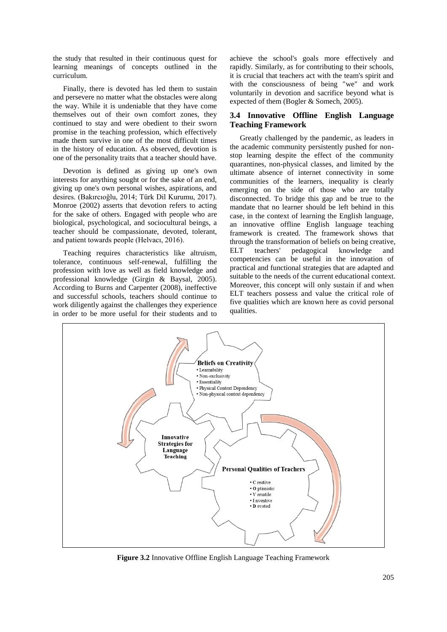the study that resulted in their continuous quest for learning meanings of concepts outlined in the curriculum.

Finally, there is devoted has led them to sustain and persevere no matter what the obstacles were along the way. While it is undeniable that they have come themselves out of their own comfort zones, they continued to stay and were obedient to their sworn promise in the teaching profession, which effectively made them survive in one of the most difficult times in the history of education. As observed, devotion is one of the personality traits that a teacher should have.

Devotion is defined as giving up one's own interests for anything sought or for the sake of an end, giving up one's own personal wishes, aspirations, and desires. (Bakırcıoğlu, 2014; Türk Dil Kurumu, 2017). Monroe (2002) asserts that devotion refers to acting for the sake of others. Engaged with people who are biological, psychological, and sociocultural beings, a teacher should be compassionate, devoted, tolerant, and patient towards people (Helvacı, 2016).

Teaching requires characteristics like altruism, tolerance, continuous self-renewal, fulfilling the profession with love as well as field knowledge and professional knowledge (Girgin & Baysal, 2005). According to Burns and Carpenter (2008), ineffective and successful schools, teachers should continue to work diligently against the challenges they experience in order to be more useful for their students and to

achieve the school's goals more effectively and rapidly. Similarly, as for contributing to their schools, it is crucial that teachers act with the team's spirit and with the consciousness of being "we" and work voluntarily in devotion and sacrifice beyond what is expected of them (Bogler & Somech, 2005).

# **3.4 Innovative Offline English Language Teaching Framework**

Greatly challenged by the pandemic, as leaders in the academic community persistently pushed for nonstop learning despite the effect of the community quarantines, non-physical classes, and limited by the ultimate absence of internet connectivity in some communities of the learners, inequality is clearly emerging on the side of those who are totally disconnected. To bridge this gap and be true to the mandate that no learner should be left behind in this case, in the context of learning the English language, an innovative offline English language teaching framework is created. The framework shows that through the transformation of beliefs on being creative, ELT teachers' pedagogical knowledge and competencies can be useful in the innovation of practical and functional strategies that are adapted and suitable to the needs of the current educational context. Moreover, this concept will only sustain if and when ELT teachers possess and value the critical role of five qualities which are known here as covid personal qualities.



**Figure 3.2** Innovative Offline English Language Teaching Framework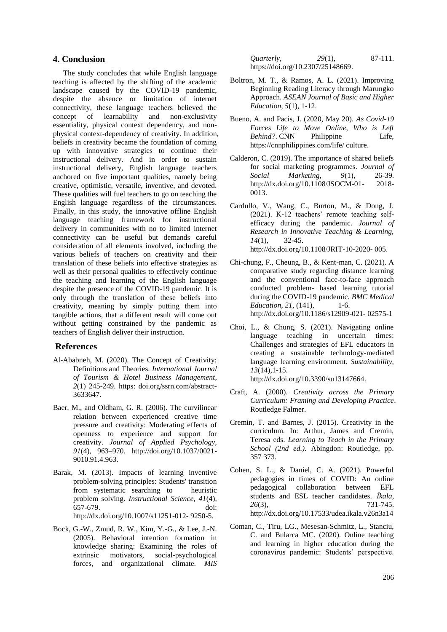### **4. Conclusion**

The study concludes that while English language teaching is affected by the shifting of the academic landscape caused by the COVID-19 pandemic, despite the absence or limitation of internet connectivity, these language teachers believed the concept of learnability and non-exclusivity essentiality, physical context dependency, and nonphysical context-dependency of creativity. In addition, beliefs in creativity became the foundation of coming up with innovative strategies to continue their instructional delivery. And in order to sustain instructional delivery, English language teachers anchored on five important qualities, namely being creative, optimistic, versatile, inventive, and devoted. These qualities will fuel teachers to go on teaching the English language regardless of the circumstances. Finally, in this study, the innovative offline English language teaching framework for instructional delivery in communities with no to limited internet connectivity can be useful but demands careful consideration of all elements involved, including the various beliefs of teachers on creativity and their translation of these beliefs into effective strategies as well as their personal qualities to effectively continue the teaching and learning of the English language despite the presence of the COVID-19 pandemic. It is only through the translation of these beliefs into creativity, meaning by simply putting them into tangible actions, that a different result will come out without getting constrained by the pandemic as teachers of English deliver their instruction.

### **References**

- Al-Ababneh, M. (2020). The Concept of Creativity: Definitions and Theories. *International Journal of Tourism & Hotel Business Management*, *2*(1) 245-249. https: doi.org/ssrn.com/abstract-3633647.
- Baer, M., and Oldham, G. R. (2006). The curvilinear relation between experienced creative time pressure and creativity: Moderating effects of openness to experience and support for creativity. *Journal of Applied Psychology, 91*(4), 963–970. http://doi.org/10.1037/0021- 9010.91.4.963.
- Barak, M. (2013). Impacts of learning inventive problem-solving principles: Students' transition from systematic searching to heuristic problem solving. *Instructional Science, 41*(4), 657-679. doi: http://dx.doi.org/10.1007/s11251-012- 9250-5.
- Bock, G.-W., Zmud, R. W., Kim, Y.-G., & Lee, J.-N. (2005). Behavioral intention formation in knowledge sharing: Examining the roles of extrinsic motivators, social-psychological forces, and organizational climate. *MIS*

*Quarterly, 29*(1), 87-111. https://doi.org/10.2307/25148669.

- Boltron, M. T., & Ramos, A. L. (2021). Improving Beginning Reading Literacy through Marungko Approach. *ASEAN Journal of Basic and Higher Education, 5*(1), 1-12.
- Bueno, A. and Pacis, J. (2020, May 20). *As Covid-19 Forces Life to Move Online, Who is Left Behind?*. CNN Philippine Life, https://cnnphilippines.com/life/ culture.
- Calderon, C. (2019). The importance of shared beliefs for social marketing programmes. *Journal of Social Marketing, 9*(1), 26-39. http://dx.doi.org/10.1108/JSOCM-01- 2018- 0013.
- Cardullo, V., Wang, C., Burton, M., & Dong, J. (2021). K-12 teachers' remote teaching selfefficacy during the pandemic. *Journal of Research in Innovative Teaching & Learning, 14*(1), 32-45. http://dx.doi.org/10.1108/JRIT-10-2020- 005.
- Chi-chung, F., Cheung, B., & Kent-man, C. (2021). A comparative study regarding distance learning and the conventional face-to-face approach conducted problem- based learning tutorial during the COVID-19 pandemic. *BMC Medical Education, 21, (141),* 1-6. http://dx.doi.org/10.1186/s12909-021- 02575-1
- Choi, L., & Chung, S. (2021). Navigating online language teaching in uncertain times: Challenges and strategies of EFL educators in creating a sustainable technology-mediated language learning environment. *Sustainability, 13*(14),1-15. http://dx.doi.org/10.3390/su13147664.
- Craft, A. (2000). *Creativity across the Primary Curriculum: Framing and Developing Practice*. Routledge Falmer.
- Cremin, T. and Barnes, J. (2015). Creativity in the curriculum. In: Arthur, James and Cremin, Teresa eds. *Learning to Teach in the Primary School (2nd ed.).* Abingdon: Routledge, pp. 357 373.
- Cohen, S. L., & Daniel, C. A. (2021). Powerful pedagogies in times of COVID: An online pedagogical collaboration between EFL students and ESL teacher candidates. *Íkala, 26*(3), 731-745. http://dx.doi.org/10.17533/udea.ikala.v26n3a14
- Coman, C., Tiru, LG., Mesesan-Schmitz, L., Stanciu, C. and Bularca MC. (2020). Online teaching and learning in higher education during the coronavirus pandemic: Students' perspective.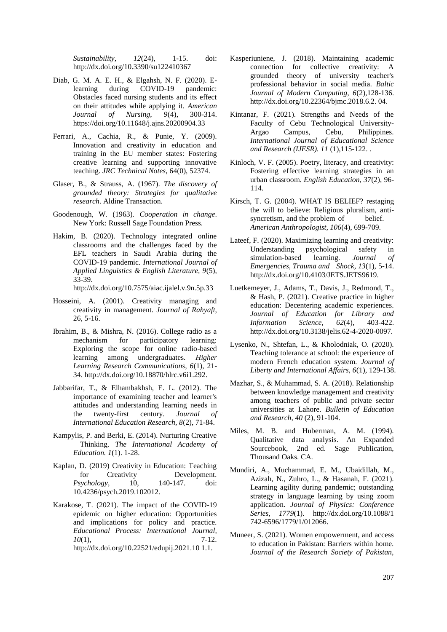*Sustainability, 12*(24), 1-15. doi: http://dx.doi.org/10.3390/su122410367

- Diab, G. M. A. E. H., & Elgahsh, N. F. (2020). E-<br>learning during COVID-19 pandemic: learning during COVID-19 Obstacles faced nursing students and its effect on their attitudes while applying it. *American Journal of Nursing, 9*(4), 300-314. https://doi.org/10.11648/j.ajns.20200904.33
- Ferrari, A., Cachia, R., & Punie, Y. (2009). Innovation and creativity in education and training in the EU member states: Fostering creative learning and supporting innovative teaching. *JRC Technical Notes*, 64(0), 52374.
- Glaser, B., & Strauss, A. (1967). *The discovery of grounded theory: Strategies for qualitative research*. Aldine Transaction.
- Goodenough, W. (1963). *Cooperation in change*. New York: Russell Sage Foundation Press.
- Hakim, B. (2020). Technology integrated online classrooms and the challenges faced by the EFL teachers in Saudi Arabia during the COVID-19 pandemic. *International Journal of Applied Linguistics & English Literature, 9*(5), 33-39.

http://dx.doi.org/10.7575/aiac.ijalel.v.9n.5p.33

- Hosseini, A. (2001). Creativity managing and creativity in management. *Journal of Rahyaft*, 26, 5-16.
- Ibrahim, B., & Mishra, N. (2016). College radio as a mechanism for participatory learning: Exploring the scope for online radio-based learning among undergraduates. *Higher Learning Research Communications, 6*(1), 21- 34. http://dx.doi.org/10.18870/hlrc.v6i1.292.
- Jabbarifar, T., & Elhambakhsh, E. L. (2012). The importance of examining teacher and learner's attitudes and understanding learning needs in<br>the twenty-first century. Journal of twenty-first century. *Journal of International Education Research, 8*(2), 71-84.
- Kampylis, P. and Berki, E. (2014). Nurturing Creative Thinking. *The International Academy of Education. 1*(1). 1-28.
- Kaplan, D. (2019) Creativity in Education: Teaching for Creativity Development. *Psychology*, 10, 140-147. doi: 10.4236/psych.2019.102012.
- Karakose, T. (2021). The impact of the COVID-19 epidemic on higher education: Opportunities and implications for policy and practice. *Educational Process: International Journal, 10*(1), 7-12. http://dx.doi.org/10.22521/edupij.2021.10 1.1.
- Kasperiuniene, J. (2018). Maintaining academic connection for collective creativity: A grounded theory of university teacher's professional behavior in social media. *Baltic Journal of Modern Computing, 6*(2),128-136. http://dx.doi.org/10.22364/bjmc.2018.6.2. 04.
- Kintanar, F. (2021). Strengths and Needs of the Faculty of Cebu Technological University-Argao Campus, Cebu, Philippines. *International Journal of Educational Science and Research (IJESR). 11* (1),115-122. .
- Kinloch, V. F. (2005). Poetry, literacy, and creativity: Fostering effective learning strategies in an urban classroom. *English Education, 37*(2), 96- 114.
- Kirsch, T. G. (2004). WHAT IS BELIEF? restaging the will to believe: Religious pluralism, antisyncretism, and the problem of belief. *American Anthropologist, 106*(4), 699-709.
- Lateef, F. (2020). Maximizing learning and creativity: Understanding psychological safety in simulation-based learning. *Journal of Emergencies, Trauma and Shock, 13*(1), 5-14. http://dx.doi.org/10.4103/JETS.JETS9619.
- Luetkemeyer, J., Adams, T., Davis, J., Redmond, T., & Hash, P. (2021). Creative practice in higher education: Decentering academic experiences. *Journal of Education for Library and Information Science, 62*(4), 403-422. http://dx.doi.org/10.3138/jelis.62-4-2020-0097.
- Lysenko, N., Shtefan, L., & Kholodniak, O. (2020). Teaching tolerance at school: the experience of modern French education system. *Journal of Liberty and International Affairs, 6*(1), 129-138.
- Mazhar, S., & Muhammad, S. A. (2018). Relationship between knowledge management and creativity among teachers of public and private sector universities at Lahore. *Bulletin of Education and Research, 40* (2), 91-104.
- Miles, M. B. and Huberman, A. M. (1994). Qualitative data analysis. An Expanded Sourcebook, 2nd ed. Sage Publication, Thousand Oaks. CA.
- Mundiri, A., Muchammad, E. M., Ubaidillah, M., Azizah, N., Zuhro, L., & Hasanah, F. (2021). Learning agility during pandemic; outstanding strategy in language learning by using zoom application. *Journal of Physics: Conference Series, 1779*(1). http://dx.doi.org/10.1088/1 742-6596/1779/1/012066.
- Muneer, S. (2021). Women empowerment, and access to education in Pakistan: Barriers within home. *Journal of the Research Society of Pakistan,*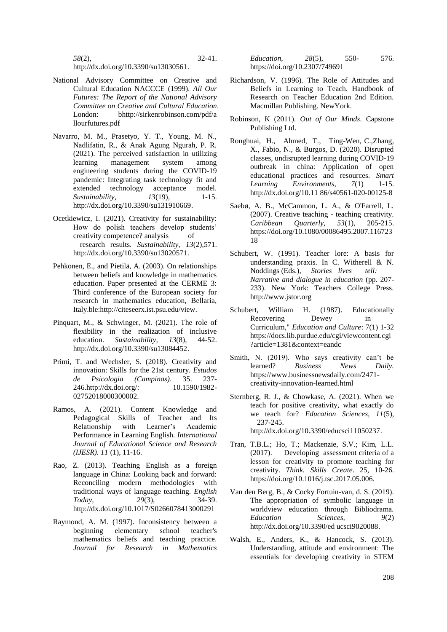http://dx.doi.org/10.3390/su13030561.

- National Advisory Committee on Creative and Cultural Education NACCCE (1999). *All Our Futures: The Report of the National Advisory Committee on Creative and Cultural Education*. London: bhttp://sirkenrobinson.com/pdf/a llourfutures.pdf
- Navarro, M. M., Prasetyo, Y. T., Young, M. N., Nadlifatin, R., & Anak Agung Ngurah, P. R. (2021). The perceived satisfaction in utilizing learning management system among engineering students during the COVID-19 pandemic: Integrating task technology fit and extended technology acceptance model. *Sustainability,*  $13(19)$ , 1-15. http://dx.doi.org/10.3390/su131910669.
- Ocetkiewicz, I. (2021). Creativity for sustainability: How do polish teachers develop students' creativity competence? analysis of research results. *Sustainability, 13*(2),571. http://dx.doi.org/10.3390/su13020571.
- Pehkonen, E., and Pietilä, A. (2003). On relationships between beliefs and knowledge in mathematics education. Paper presented at the CERME 3: Third conference of the European society for research in mathematics education, Bellaria, Italy.ble:http://citeseerx.ist.psu.edu/view.
- Pinquart, M., & Schwinger, M. (2021). The role of flexibility in the realization of inclusive education. *Sustainability, 13*(8), 44-52. http://dx.doi.org/10.3390/su13084452.
- Primi, T. and Wechsler, S. (2018). Creativity and innovation: Skills for the 21st century. *Estudos de Psicologia (Campinas)*. 35. 237- 246.http://dx.doi.org/: 10.1590/1982- 02752018000300002.
- Ramos, A. (2021). Content Knowledge and Pedagogical Skills of Teacher and Its<br>Relationship with Learner's Academic Relationship with Learner's Academic Performance in Learning English. *International Journal of Educational Science and Research (IJESR). 11* (1), 11-16.
- Rao, Z. (2013). Teaching English as a foreign language in China: Looking back and forward: Reconciling modern methodologies with traditional ways of language teaching. *English Today, 29*(3), 34-39. http://dx.doi.org/10.1017/S0266078413000291
- Raymond, A. M. (1997). Inconsistency between a beginning elementary school teacher's mathematics beliefs and teaching practice. *Journal for Research in Mathematics*

*Education, 28*(5), 550- 576. https://doi.org/10.2307/749691

- Richardson, V. (1996). The Role of Attitudes and Beliefs in Learning to Teach. Handbook of Research on Teacher Education 2nd Edition. Macmillan Publishing. NewYork.
- Robinson, K (2011). *Out of Our Minds*. Capstone Publishing Ltd.
- Ronghuai, H., Ahmed, T., Ting-Wen, C.,Zhang, X., Fabio, N., & Burgos, D. (2020). Disrupted classes, undisrupted learning during COVID-19 outbreak in china: Application of open educational practices and resources. *Smart Learning Environments, 7*(1) 1-15. http://dx.doi.org/10.11 86/s40561-020-00125-8
- Saebø, A. B., McCammon, L. A., & O'Farrell, L. (2007). Creative teaching - teaching creativity. *Caribbean Quarterly, 53*(1), 205-215. https://doi.org/10.1080/00086495.2007.116723 18
- Schubert, W. (1991). Teacher lore: A basis for understanding praxis. In C. Witherell & N. Noddings (Eds.), *Stories lives tell: Narrative and dialogue in education* (pp. 207- 233). New York: Teachers College Press. http://www.jstor.org
- Schubert, William H. (1987). Educationally Recovering Dewey in Curriculum," *Education and Culture*: 7(1) 1-32 https://docs.lib.purdue.edu/cgi/viewcontent.cgi ?article=1381&context=eandc
- Smith, N. (2019). Who says creativity can't be learned? *Business News Daily.* [https://www.businessnewsdaily.com/2471](https://www.businessnewsdaily.com/2471-creativity-innovation-learned.html) [creativity-innovation-learned.html](https://www.businessnewsdaily.com/2471-creativity-innovation-learned.html)
- Sternberg, R. J., & Chowkase, A. (2021). When we teach for positive creativity, what exactly do we teach for? *Education Sciences, 11*(5), 237-245. http://dx.doi.org/10.3390/educsci11050237.
- Tran, T.B.L.; Ho, T.; Mackenzie, S.V.; Kim, L.L. (2017). Developing assessment criteria of a lesson for creativity to promote teaching for creativity. *Think. Skills Create*. 25, 10-26. https://doi.org/10.1016/j.tsc.2017.05.006.
- Van den Berg, B., & Cocky Fortuin-van, d. S. (2019). The appropriation of symbolic language in worldview education through Bibliodrama. *Education Sciences, 9*(2) http://dx.doi.org/10.3390/ed ucsci9020088.
- Walsh, E., Anders, K., & Hancock, S. (2013). Understanding, attitude and environment: The essentials for developing creativity in STEM